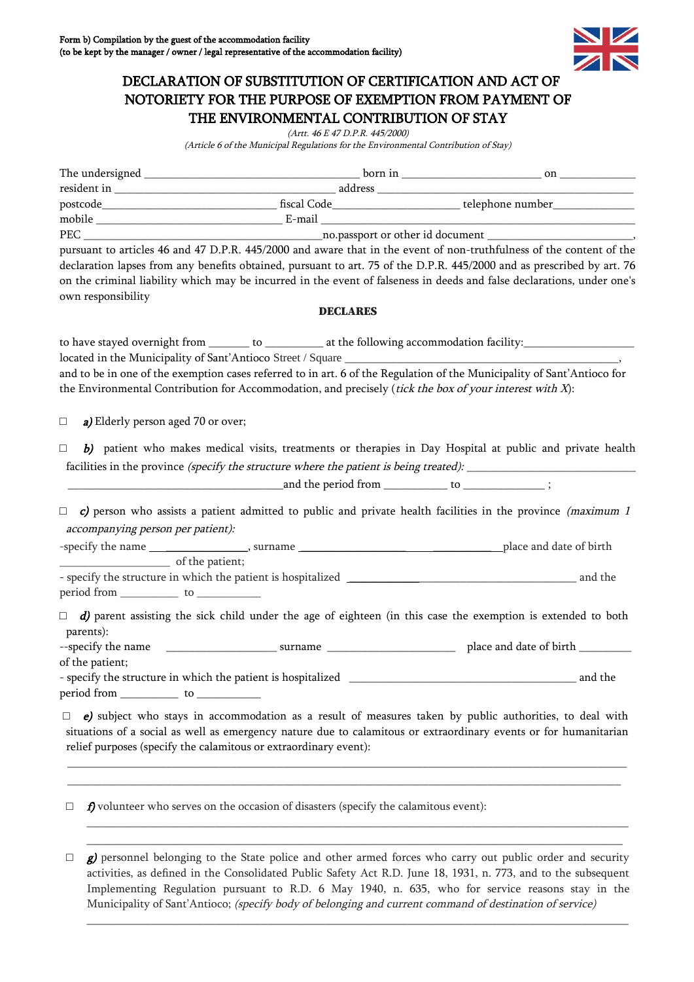

## DECLARATION OF SUBSTITUTION OF CERTIFICATION AND ACT OF NOTORIETY FOR THE PURPOSE OF EXEMPTION FROM PAYMENT OF THE ENVIRONMENTAL CONTRIBUTION OF STAY

(Artt. 46 E 47 D.P.R. 445/2000)

(Article 6 of the Municipal Regulations for the Environmental Contribution of Stay)

| own responsibility                                   | pursuant to articles 46 and 47 D.P.R. 445/2000 and aware that in the event of non-truthfulness of the content of the<br>declaration lapses from any benefits obtained, pursuant to art. 75 of the D.P.R. 445/2000 and as prescribed by art. 76<br>on the criminal liability which may be incurred in the event of falseness in deeds and false declarations, under one's |         |
|------------------------------------------------------|--------------------------------------------------------------------------------------------------------------------------------------------------------------------------------------------------------------------------------------------------------------------------------------------------------------------------------------------------------------------------|---------|
|                                                      | <b>DECLARES</b>                                                                                                                                                                                                                                                                                                                                                          |         |
|                                                      | to have stayed overnight from ________ to ____________ at the following accommodation facility:_______________                                                                                                                                                                                                                                                           |         |
|                                                      |                                                                                                                                                                                                                                                                                                                                                                          |         |
|                                                      | and to be in one of the exemption cases referred to in art. 6 of the Regulation of the Municipality of Sant'Antioco for<br>the Environmental Contribution for Accommodation, and precisely (tick the box of your interest with X):                                                                                                                                       |         |
| a) Elderly person aged 70 or over;<br>$\Box$         |                                                                                                                                                                                                                                                                                                                                                                          |         |
| □                                                    | b) patient who makes medical visits, treatments or therapies in Day Hospital at public and private health<br>facilities in the province (specify the structure where the patient is being treated): _______________________                                                                                                                                              |         |
|                                                      |                                                                                                                                                                                                                                                                                                                                                                          |         |
| accompanying person per patient):<br>of the patient; | $\Box$ c) person who assists a patient admitted to public and private health facilities in the province (maximum 1                                                                                                                                                                                                                                                       |         |
|                                                      |                                                                                                                                                                                                                                                                                                                                                                          |         |
| parents):                                            | $\Box$ d) parent assisting the sick child under the age of eighteen (in this case the exemption is extended to both                                                                                                                                                                                                                                                      |         |
|                                                      |                                                                                                                                                                                                                                                                                                                                                                          |         |
| of the patient;                                      |                                                                                                                                                                                                                                                                                                                                                                          |         |
|                                                      | - specify the structure in which the patient is hospitalized                                                                                                                                                                                                                                                                                                             | and the |
|                                                      |                                                                                                                                                                                                                                                                                                                                                                          |         |
| $\Box$                                               | e) subject who stays in accommodation as a result of measures taken by public authorities, to deal with<br>situations of a social as well as emergency nature due to calamitous or extraordinary events or for humanitarian<br>relief purposes (specify the calamitous or extraordinary event):                                                                          |         |
|                                                      |                                                                                                                                                                                                                                                                                                                                                                          |         |
| $\Box$                                               | $f$ ) volunteer who serves on the occasion of disasters (specify the calamitous event):                                                                                                                                                                                                                                                                                  |         |

 $\Box$  g) personnel belonging to the State police and other armed forces who carry out public order and security activities, as defined in the Consolidated Public Safety Act R.D. June 18, 1931, n. 773, and to the subsequent Implementing Regulation pursuant to R.D. 6 May 1940, n. 635, who for service reasons stay in the Municipality of Sant'Antioco; (specify body of belonging and current command of destination of service)